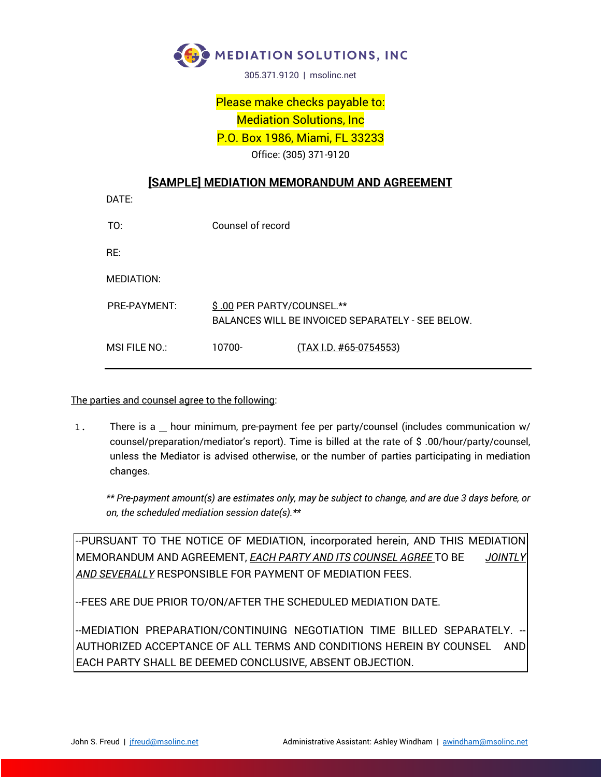

305.371.9120 | msolinc.net

## Please make checks payable to: Mediation Solutions, Inc P.O. Box 1986, Miami, FL 33233 Office: (305) 371-9120

## **[SAMPLE] MEDIATION MEMORANDUM AND AGREEMENT**

| DATE:           |                                                                                 |                        |
|-----------------|---------------------------------------------------------------------------------|------------------------|
| TO:             | Counsel of record                                                               |                        |
| RF:             |                                                                                 |                        |
| MEDIATION:      |                                                                                 |                        |
| PRF-PAYMENT:    | \$.00 PER PARTY/COUNSEL.**<br>BALANCES WILL BE INVOICED SEPARATELY - SEE BELOW. |                        |
| $MSI$ FII F NO: | 10700-                                                                          | (TAX I.D. #65-0754553) |

The parties and counsel agree to the following:

1. There is a  $\equiv$  hour minimum, pre-payment fee per party/counsel (includes communication w/ counsel/preparation/mediator's report). Time is billed at the rate of \$ .00/hour/party/counsel, unless the Mediator is advised otherwise, or the number of parties participating in mediation changes.

*\*\* Pre-payment amount(s) are estimates only, may be subject to change, and are due 3 days before, or on, the scheduled mediation session date(s).\*\**

--PURSUANT TO THE NOTICE OF MEDIATION, incorporated herein, AND THIS MEDIATION MEMORANDUM AND AGREEMENT, *EACH PARTY AND ITS COUNSEL AGREE* TO BE *JOINTLY AND SEVERALLY* RESPONSIBLE FOR PAYMENT OF MEDIATION FEES.

--FEES ARE DUE PRIOR TO/ON/AFTER THE SCHEDULED MEDIATION DATE.

--MEDIATION PREPARATION/CONTINUING NEGOTIATION TIME BILLED SEPARATELY. -- AUTHORIZED ACCEPTANCE OF ALL TERMS AND CONDITIONS HEREIN BY COUNSEL AND EACH PARTY SHALL BE DEEMED CONCLUSIVE, ABSENT OBJECTION.